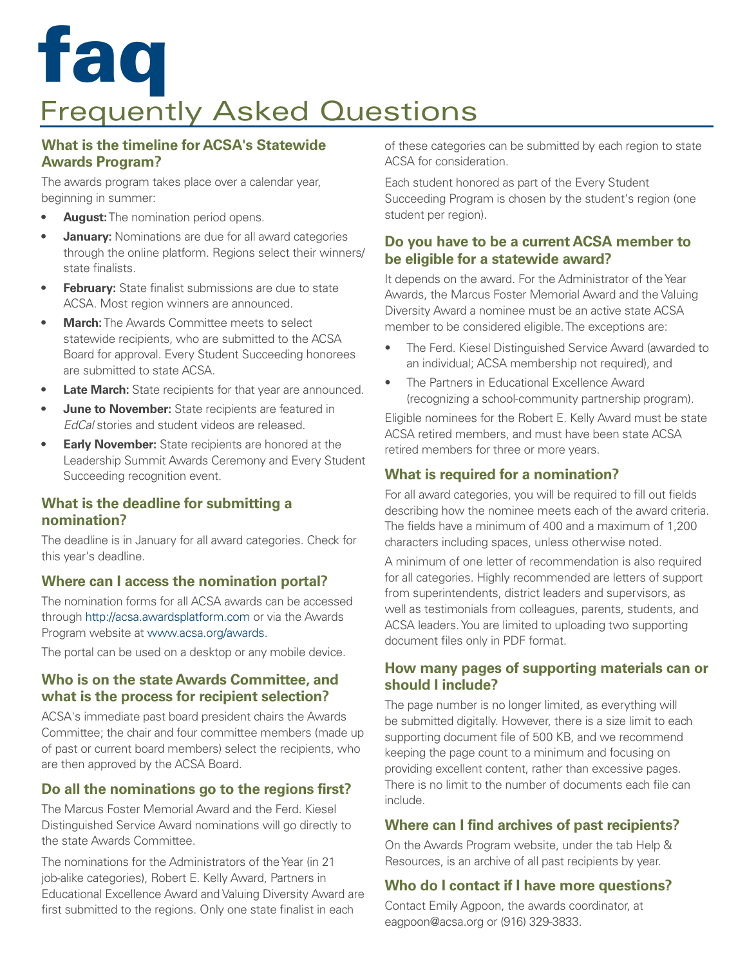## Frequently Asked Questions faq

#### **What is the timeline for ACSA's Statewide Awards Program?**

The awards program takes place over a calendar year, beginning in summer:

- **• August:** The nomination period opens.
- **• January:** Nominations are due for all award categories through the online platform. Regions select their winners/ state finalists.
- **February:** State finalist submissions are due to state ACSA. Most region winners are announced.
- **• March:** The Awards Committee meets to select statewide recipients, who are submitted to the ACSA Board for approval. Every Student Succeeding honorees are submitted to state ACSA.
- **Late March:** State recipients for that year are announced.
- **June to November:** State recipients are featured in *EdCal* stories and student videos are released.
- **Early November:** State recipients are honored at the Leadership Summit Awards Ceremony and Every Student Succeeding recognition event.

#### **What is the deadline for submitting a nomination?**

The deadline is in January for all award categories. Check for this year's deadline.

#### **Where can I access the nomination portal?**

The nomination forms for all ACSA awards can be accessed through http://acsa.awardsplatform.com or via the Awards Program website at www.acsa.org/awards.

The portal can be used on a desktop or any mobile device.

#### **Who is on the state Awards Committee, and what is the process for recipient selection?**

ACSA's immediate past board president chairs the Awards Committee; the chair and four committee members (made up of past or current board members) select the recipients, who are then approved by the ACSA Board.

#### **Do all the nominations go to the regions first?**

The Marcus Foster Memorial Award and the Ferd. Kiesel Distinguished Service Award nominations will go directly to the state Awards Committee.

The nominations for the Administrators of the Year (in 21 job-alike categories), Robert E. Kelly Award, Partners in Educational Excellence Award and Valuing Diversity Award are first submitted to the regions. Only one state finalist in each

of these categories can be submitted by each region to state ACSA for consideration.

Each student honored as part of the Every Student Succeeding Program is chosen by the student's region (one student per region).

#### **Do you have to be a current ACSA member to be eligible for a statewide award?**

It depends on the award. For the Administrator of the Year Awards, the Marcus Foster Memorial Award and the Valuing Diversity Award a nominee must be an active state ACSA member to be considered eligible. The exceptions are:

- The Ferd. Kiesel Distinguished Service Award (awarded to an individual; ACSA membership not required), and
- The Partners in Educational Excellence Award (recognizing a school-community partnership program).

Eligible nominees for the Robert E. Kelly Award must be state ACSA retired members, and must have been state ACSA retired members for three or more years.

#### **What is required for a nomination?**

For all award categories, you will be required to fill out fields describing how the nominee meets each of the award criteria. The fields have a minimum of 400 and a maximum of 1,200 characters including spaces, unless otherwise noted.

A minimum of one letter of recommendation is also required for all categories. Highly recommended are letters of support from superintendents, district leaders and supervisors, as well as testimonials from colleagues, parents, students, and ACSA leaders. You are limited to uploading two supporting document files only in PDF format.

#### **How many pages of supporting materials can or should I include?**

The page number is no longer limited, as everything will be submitted digitally. However, there is a size limit to each supporting document file of 500 KB, and we recommend keeping the page count to a minimum and focusing on providing excellent content, rather than excessive pages. There is no limit to the number of documents each file can include.

#### **Where can I find archives of past recipients?**

On the Awards Program website, under the tab Help & Resources, is an archive of all past recipients by year.

#### **Who do I contact if I have more questions?**

Contact Emily Agpoon, the awards coordinator, at eagpoon@acsa.org or (916) 329-3833.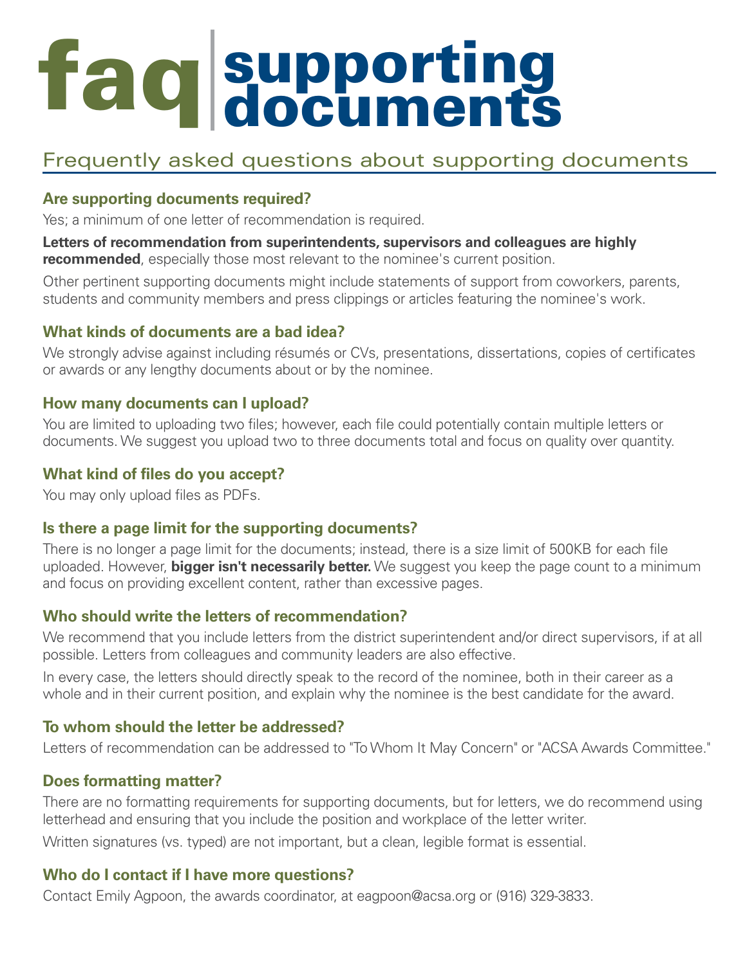# faq supporting<br>documents

### Frequently asked questions about supporting documents

#### **Are supporting documents required?**

Yes; a minimum of one letter of recommendation is required.

**Letters of recommendation from superintendents, supervisors and colleagues are highly recommended**, especially those most relevant to the nominee's current position.

Other pertinent supporting documents might include statements of support from coworkers, parents, students and community members and press clippings or articles featuring the nominee's work.

#### **What kinds of documents are a bad idea?**

We strongly advise against including résumés or CVs, presentations, dissertations, copies of certificates or awards or any lengthy documents about or by the nominee.

#### **How many documents can I upload?**

You are limited to uploading two files; however, each file could potentially contain multiple letters or documents. We suggest you upload two to three documents total and focus on quality over quantity.

#### **What kind of files do you accept?**

You may only upload files as PDFs.

#### **Is there a page limit for the supporting documents?**

There is no longer a page limit for the documents; instead, there is a size limit of 500KB for each file uploaded. However, **bigger isn't necessarily better.** We suggest you keep the page count to a minimum and focus on providing excellent content, rather than excessive pages.

#### **Who should write the letters of recommendation?**

We recommend that you include letters from the district superintendent and/or direct supervisors, if at all possible. Letters from colleagues and community leaders are also effective.

In every case, the letters should directly speak to the record of the nominee, both in their career as a whole and in their current position, and explain why the nominee is the best candidate for the award.

#### **To whom should the letter be addressed?**

Letters of recommendation can be addressed to "To Whom It May Concern" or "ACSA Awards Committee."

#### **Does formatting matter?**

There are no formatting requirements for supporting documents, but for letters, we do recommend using letterhead and ensuring that you include the position and workplace of the letter writer.

Written signatures (vs. typed) are not important, but a clean, legible format is essential.

#### **Who do I contact if I have more questions?**

Contact Emily Agpoon, the awards coordinator, at eagpoon@acsa.org or (916) 329-3833.